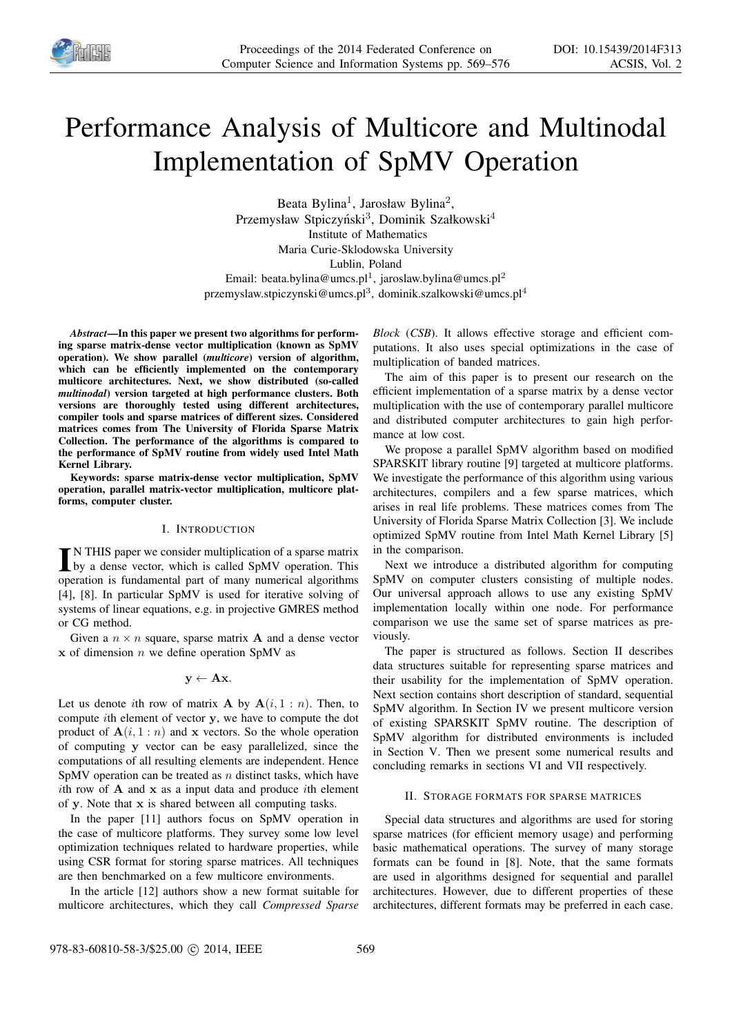

# Performance Analysis of Multicore and Multinodal Implementation of SpMV Operation

Beata Bylina<sup>1</sup>, Jarosław Bylina<sup>2</sup>, Przemysław Stpiczyński<sup>3</sup>, Dominik Szałkowski<sup>4</sup> Institute of Mathematics Maria Curie-Sklodowska University Lublin, Poland Email: beata.bylina@umcs.pl<sup>1</sup>, jaroslaw.bylina@umcs.pl<sup>2</sup>

przemyslaw.stpiczynski@umcs.pl<sup>3</sup>, dominik.szalkowski@umcs.pl<sup>4</sup>

*Abstract*—In this paper we present two algorithms for performing sparse matrix-dense vector multiplication (known as SpMV operation). We show parallel (*multicore*) version of algorithm, which can be efficiently implemented on the contemporary multicore architectures. Next, we show distributed (so-called *multinodal*) version targeted at high performance clusters. Both versions are thoroughly tested using different architectures, compiler tools and sparse matrices of different sizes. Considered matrices comes from The University of Florida Sparse Matrix Collection. The performance of the algorithms is compared to the performance of SpMV routine from widely used Intel Math Kernel Library.

Keywords: sparse matrix-dense vector multiplication, SpMV operation, parallel matrix-vector multiplication, multicore platforms, computer cluster.

## I. INTRODUCTION

IN THIS paper we consider multiplication of a sparse matrix<br>by a dense vector, which is called SpMV operation. This N THIS paper we consider multiplication of a sparse matrix operation is fundamental part of many numerical algorithms [4], [8]. In particular SpMV is used for iterative solving of systems of linear equations, e.g. in projective GMRES method or CG method.

Given a  $n \times n$  square, sparse matrix **A** and a dense vector  $x$  of dimension  $n$  we define operation SpMV as

## $y \leftarrow Ax$ .

Let us denote *i*th row of matrix **A** by  $A(i, 1:n)$ . Then, to compute ith element of vector y, we have to compute the dot product of  $A(i, 1:n)$  and x vectors. So the whole operation of computing y vector can be easy parallelized, since the computations of all resulting elements are independent. Hence SpMV operation can be treated as  $n$  distinct tasks, which have ith row of  $A$  and  $x$  as a input data and produce ith element of y. Note that x is shared between all computing tasks.

In the paper [11] authors focus on SpMV operation in the case of multicore platforms. They survey some low level optimization techniques related to hardware properties, while using CSR format for storing sparse matrices. All techniques are then benchmarked on a few multicore environments.

In the article [12] authors show a new format suitable for multicore architectures, which they call *Compressed Sparse* *Block* (*CSB*). It allows effective storage and efficient computations. It also uses special optimizations in the case of multiplication of banded matrices.

The aim of this paper is to present our research on the efficient implementation of a sparse matrix by a dense vector multiplication with the use of contemporary parallel multicore and distributed computer architectures to gain high performance at low cost.

We propose a parallel SpMV algorithm based on modified SPARSKIT library routine [9] targeted at multicore platforms. We investigate the performance of this algorithm using various architectures, compilers and a few sparse matrices, which arises in real life problems. These matrices comes from The University of Florida Sparse Matrix Collection [3]. We include optimized SpMV routine from Intel Math Kernel Library [5] in the comparison.

Next we introduce a distributed algorithm for computing SpMV on computer clusters consisting of multiple nodes. Our universal approach allows to use any existing SpMV implementation locally within one node. For performance comparison we use the same set of sparse matrices as previously.

The paper is structured as follows. Section II describes data structures suitable for representing sparse matrices and their usability for the implementation of SpMV operation. Next section contains short description of standard, sequential SpMV algorithm. In Section IV we present multicore version of existing SPARSKIT SpMV routine. The description of SpMV algorithm for distributed environments is included in Section V. Then we present some numerical results and concluding remarks in sections VI and VII respectively.

#### II. STORAGE FORMATS FOR SPARSE MATRICES

Special data structures and algorithms are used for storing sparse matrices (for efficient memory usage) and performing basic mathematical operations. The survey of many storage formats can be found in [8]. Note, that the same formats are used in algorithms designed for sequential and parallel architectures. However, due to different properties of these architectures, different formats may be preferred in each case.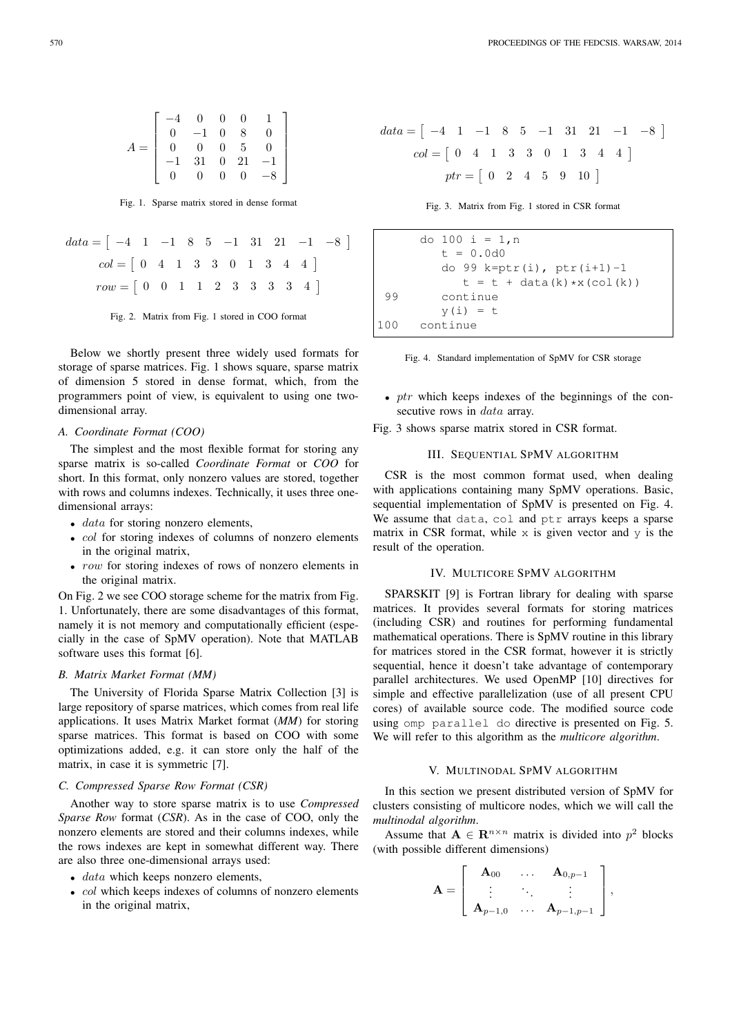Fig. 1. Sparse matrix stored in dense format

$$
data = \begin{bmatrix} -4 & 1 & -1 & 8 & 5 & -1 & 31 & 21 & -1 & -8 \end{bmatrix}
$$

$$
col = \begin{bmatrix} 0 & 4 & 1 & 3 & 3 & 0 & 1 & 3 & 4 & 4 \end{bmatrix}
$$

$$
row = \begin{bmatrix} 0 & 0 & 1 & 1 & 2 & 3 & 3 & 3 & 3 & 4 \end{bmatrix}
$$

Fig. 2. Matrix from Fig. 1 stored in COO format

Below we shortly present three widely used formats for storage of sparse matrices. Fig. 1 shows square, sparse matrix of dimension 5 stored in dense format, which, from the programmers point of view, is equivalent to using one twodimensional array.

# *A. Coordinate Format (COO)*

The simplest and the most flexible format for storing any sparse matrix is so-called *Coordinate Format* or *COO* for short. In this format, only nonzero values are stored, together with rows and columns indexes. Technically, it uses three onedimensional arrays:

- $\bullet$  *data* for storing nonzero elements,
- *col* for storing indexes of columns of nonzero elements in the original matrix,
- row for storing indexes of rows of nonzero elements in the original matrix.

On Fig. 2 we see COO storage scheme for the matrix from Fig. 1. Unfortunately, there are some disadvantages of this format, namely it is not memory and computationally efficient (especially in the case of SpMV operation). Note that MATLAB software uses this format [6].

#### *B. Matrix Market Format (MM)*

The University of Florida Sparse Matrix Collection [3] is large repository of sparse matrices, which comes from real life applications. It uses Matrix Market format (*MM*) for storing sparse matrices. This format is based on COO with some optimizations added, e.g. it can store only the half of the matrix, in case it is symmetric [7].

## *C. Compressed Sparse Row Format (CSR)*

Another way to store sparse matrix is to use *Compressed Sparse Row* format (*CSR*). As in the case of COO, only the nonzero elements are stored and their columns indexes, while the rows indexes are kept in somewhat different way. There are also three one-dimensional arrays used:

- data which keeps nonzero elements,
- col which keeps indexes of columns of nonzero elements in the original matrix,

$$
data = \begin{bmatrix} -4 & 1 & -1 & 8 & 5 & -1 & 31 & 21 & -1 & -8 \end{bmatrix}
$$

$$
col = \begin{bmatrix} 0 & 4 & 1 & 3 & 3 & 0 & 1 & 3 & 4 & 4 \end{bmatrix}
$$

$$
ptr = \begin{bmatrix} 0 & 2 & 4 & 5 & 9 & 10 \end{bmatrix}
$$

Fig. 3. Matrix from Fig. 1 stored in CSR format

```
do 100 i = 1,n
        t = 0.0d0do 99 k=ptr(i), ptr(i+1)-1
           t = t + data(k) *x(col(k))99 continue
        y(i) = t100 continue
```


- $ptr$  which keeps indexes of the beginnings of the consecutive rows in *data* array.
- Fig. 3 shows sparse matrix stored in CSR format.

## III. SEQUENTIAL SPMV ALGORITHM

CSR is the most common format used, when dealing with applications containing many SpMV operations. Basic, sequential implementation of SpMV is presented on Fig. 4. We assume that data, col and ptr arrays keeps a sparse matrix in CSR format, while  $x$  is given vector and  $y$  is the result of the operation.

## IV. MULTICORE SPMV ALGORITHM

SPARSKIT [9] is Fortran library for dealing with sparse matrices. It provides several formats for storing matrices (including CSR) and routines for performing fundamental mathematical operations. There is SpMV routine in this library for matrices stored in the CSR format, however it is strictly sequential, hence it doesn't take advantage of contemporary parallel architectures. We used OpenMP [10] directives for simple and effective parallelization (use of all present CPU cores) of available source code. The modified source code using omp parallel do directive is presented on Fig. 5. We will refer to this algorithm as the *multicore algorithm*.

## V. MULTINODAL SPMV ALGORITHM

In this section we present distributed version of SpMV for clusters consisting of multicore nodes, which we will call the *multinodal algorithm*.

Assume that  $A \in \mathbb{R}^{n \times n}$  matrix is divided into  $p^2$  blocks (with possible different dimensions)

$$
\mathbf{A} = \left[ \begin{array}{ccc} \mathbf{A}_{00} & \dots & \mathbf{A}_{0,p-1} \\ \vdots & \ddots & \vdots \\ \mathbf{A}_{p-1,0} & \dots & \mathbf{A}_{p-1,p-1} \end{array} \right],
$$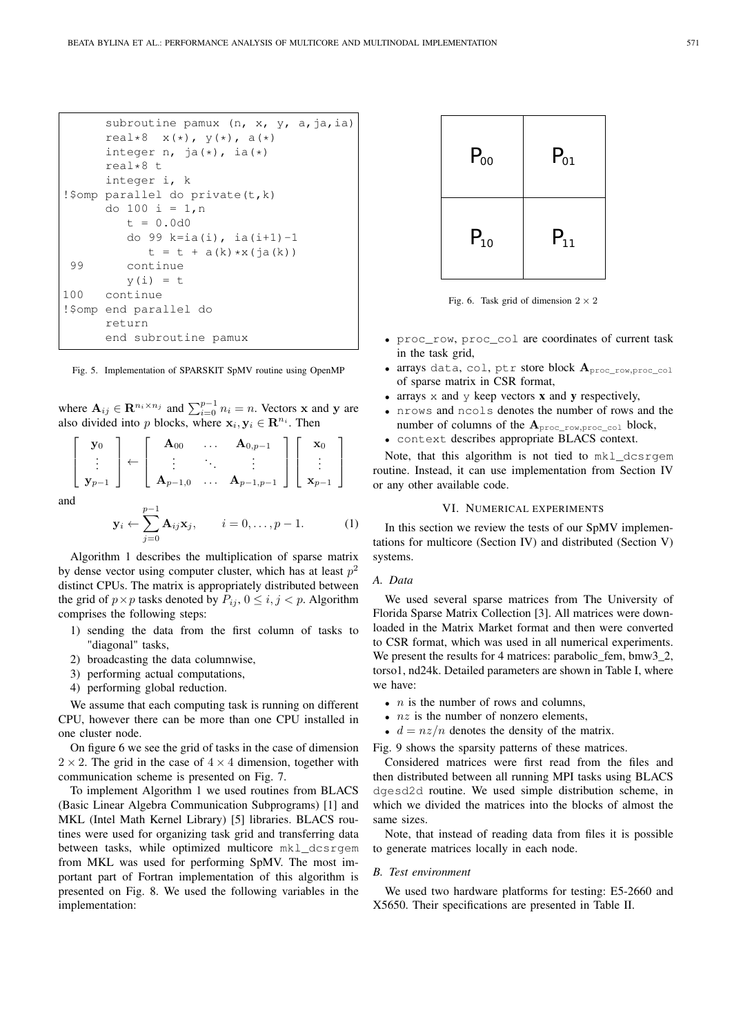```
subroutine pamux (n, x, y, a, ja, ia)
     real*8 x(*), y(*), a(*)integer n, ja(*), ia(*)real*8 t
     integer i, k
!$omp parallel do private(t,k)
     do 100 i = 1,n
        t = 0.0d0do 99 k=ia(i), ia(i+1)-1
           t = t + a(k) * x(i a(k))99 continue
        y(i) = t100 continue
!$omp end parallel do
     return
     end subroutine pamux
```
Fig. 5. Implementation of SPARSKIT SpMV routine using OpenMP

where  $\mathbf{A}_{ij} \in \mathbf{R}^{n_i \times n_j}$  and  $\sum_{i=0}^{p-1} n_i = n$ . Vectors **x** and **y** are also divided into p blocks, where  $x_i, y_i \in \mathbb{R}^{n_i}$ . Then

$$
\begin{bmatrix} \mathbf{y}_0 \\ \vdots \\ \mathbf{y}_{p-1} \end{bmatrix} \leftarrow \begin{bmatrix} \mathbf{A}_{00} & \dots & \mathbf{A}_{0,p-1} \\ \vdots & \ddots & \vdots \\ \mathbf{A}_{p-1,0} & \dots & \mathbf{A}_{p-1,p-1} \end{bmatrix} \begin{bmatrix} \mathbf{x}_0 \\ \vdots \\ \mathbf{x}_{p-1} \end{bmatrix}
$$
and

a

$$
\mathbf{y}_i \leftarrow \sum_{j=0}^{p-1} \mathbf{A}_{ij} \mathbf{x}_j, \qquad i = 0, \dots, p-1.
$$
 (1)

Algorithm 1 describes the multiplication of sparse matrix by dense vector using computer cluster, which has at least  $p^2$ distinct CPUs. The matrix is appropriately distributed between the grid of  $p \times p$  tasks denoted by  $P_{ij}$ ,  $0 \le i, j < p$ . Algorithm comprises the following steps:

- 1) sending the data from the first column of tasks to "diagonal" tasks,
- 2) broadcasting the data columnwise,
- 3) performing actual computations,
- 4) performing global reduction.

We assume that each computing task is running on different CPU, however there can be more than one CPU installed in one cluster node.

On figure 6 we see the grid of tasks in the case of dimension  $2 \times 2$ . The grid in the case of  $4 \times 4$  dimension, together with communication scheme is presented on Fig. 7.

To implement Algorithm 1 we used routines from BLACS (Basic Linear Algebra Communication Subprograms) [1] and MKL (Intel Math Kernel Library) [5] libraries. BLACS routines were used for organizing task grid and transferring data between tasks, while optimized multicore mkl\_dcsrgem from MKL was used for performing SpMV. The most important part of Fortran implementation of this algorithm is presented on Fig. 8. We used the following variables in the implementation:



Fig. 6. Task grid of dimension  $2 \times 2$ 

- proc\_row, proc\_col are coordinates of current task in the task grid,
- arrays data, col, ptr store block  $A_{\text{proc\_row,proc\_col}}$ of sparse matrix in CSR format,
- arrays  $x$  and  $y$  keep vectors  $x$  and  $y$  respectively,
- nrows and ncols denotes the number of rows and the number of columns of the  $A_{\text{proc row,proc col}}$  block,
- context describes appropriate BLACS context.

Note, that this algorithm is not tied to mkl\_dcsrgem routine. Instead, it can use implementation from Section IV or any other available code.

# VI. NUMERICAL EXPERIMENTS

In this section we review the tests of our SpMV implementations for multicore (Section IV) and distributed (Section V) systems.

## *A. Data*

We used several sparse matrices from The University of Florida Sparse Matrix Collection [3]. All matrices were downloaded in the Matrix Market format and then were converted to CSR format, which was used in all numerical experiments. We present the results for 4 matrices: parabolic\_fem, bmw3\_2, torso1, nd24k. Detailed parameters are shown in Table I, where we have:

- $n$  is the number of rows and columns,
- $nz$  is the number of nonzero elements,
- $d = nz/n$  denotes the density of the matrix.

Fig. 9 shows the sparsity patterns of these matrices.

Considered matrices were first read from the files and then distributed between all running MPI tasks using BLACS dgesd2d routine. We used simple distribution scheme, in which we divided the matrices into the blocks of almost the same sizes.

Note, that instead of reading data from files it is possible to generate matrices locally in each node.

#### *B. Test environment*

We used two hardware platforms for testing: E5-2660 and X5650. Their specifications are presented in Table II.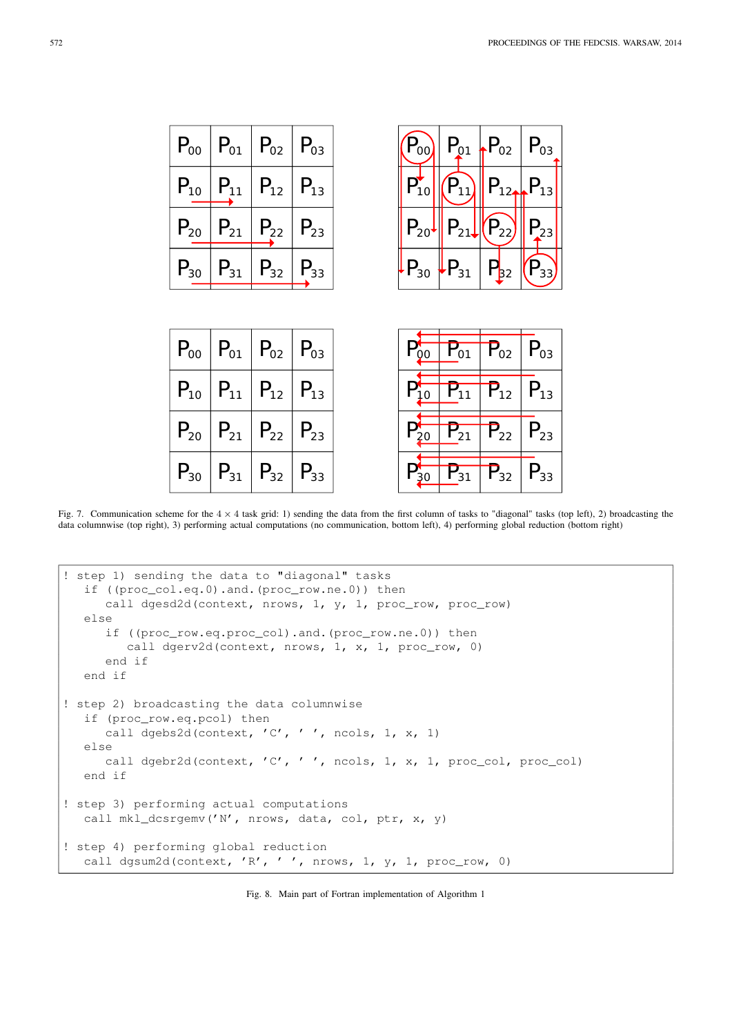| $ P_{00}  P_{01}   P_{02}   P_{03}$ |                                     |  |  | $P_{00}$ $P_{01}$ $P_{02}$ $P_{03}$                                                                                                            |  |
|-------------------------------------|-------------------------------------|--|--|------------------------------------------------------------------------------------------------------------------------------------------------|--|
|                                     | $P_{10}   P_{11}   P_{12}   P_{13}$ |  |  | $P_{10}$ $\left \left \left \left \left \right.\right\rangle_{11}\right \right $ $P_{12}$ $\left \left \left \right.\right\rangle_{13}\right $ |  |
|                                     | $P_{20}$ $P_{21}$ $P_{22}$ $P_{23}$ |  |  | $P_{20}$ $P_{21}$ $P_{22}$ $P_{23}$                                                                                                            |  |
|                                     | $P_{30}$ $P_{31}$ $P_{32}$ $P_{33}$ |  |  | $\left  P_{30} \right  \left  P_{31} \right  \left  P_{32} \right  \left  P_{33} \right $                                                      |  |

|  | $P_{00}$   $P_{01}$   $P_{02}$   $P_{03}$ |  |  | $P_{00}$ $P_{01}$ $P_{02}$ $P_{03}$ |  |
|--|-------------------------------------------|--|--|-------------------------------------|--|
|  | $P_{10}$ $P_{11}$ $P_{12}$ $P_{13}$       |  |  | $P_{10}$ $P_{11}$ $P_{12}$ $P_{13}$ |  |
|  | $P_{20}   P_{21}   P_{22}   P_{23}$       |  |  | $P_{20}$ $P_{21}$ $P_{22}$ $P_{23}$ |  |
|  | $P_{30}$ $P_{31}$ $P_{32}$ $P_{33}$       |  |  | $P_{30}$ $P_{31}$ $P_{32}$ $P_{33}$ |  |

Fig. 7. Communication scheme for the  $4 \times 4$  task grid: 1) sending the data from the first column of tasks to "diagonal" tasks (top left), 2) broadcasting the data columnwise (top right), 3) performing actual computations (no communication, bottom left), 4) performing global reduction (bottom right)

```
! step 1) sending the data to "diagonal" tasks
   if ((proc_col.eq.0).and.(proc_row.ne.0)) then
      call dgesd2d(context, nrows, 1, y, 1, proc_row, proc_row)
   else
      if ((proc_row.eq.proc_col).and.(proc_row.ne.0)) then
         call dgerv2d(context, nrows, 1, x, 1, proc_row, 0)
      end if
   end if
! step 2) broadcasting the data columnwise
   if (proc_row.eq.pcol) then
      call dgebs2d(context, 'C', ' ', ncols, 1, x, 1)
   else
     call dgebr2d(context, 'C', ' ', ncols, 1, x, 1, proc_col, proc_col)
  end if
! step 3) performing actual computations
  call mkl_dcsrgemv('N', nrows, data, col, ptr, x, y)
! step 4) performing global reduction
   call dgsum2d(context, 'R', ' ', nrows, 1, y, 1, proc_row, 0)
```
Fig. 8. Main part of Fortran implementation of Algorithm 1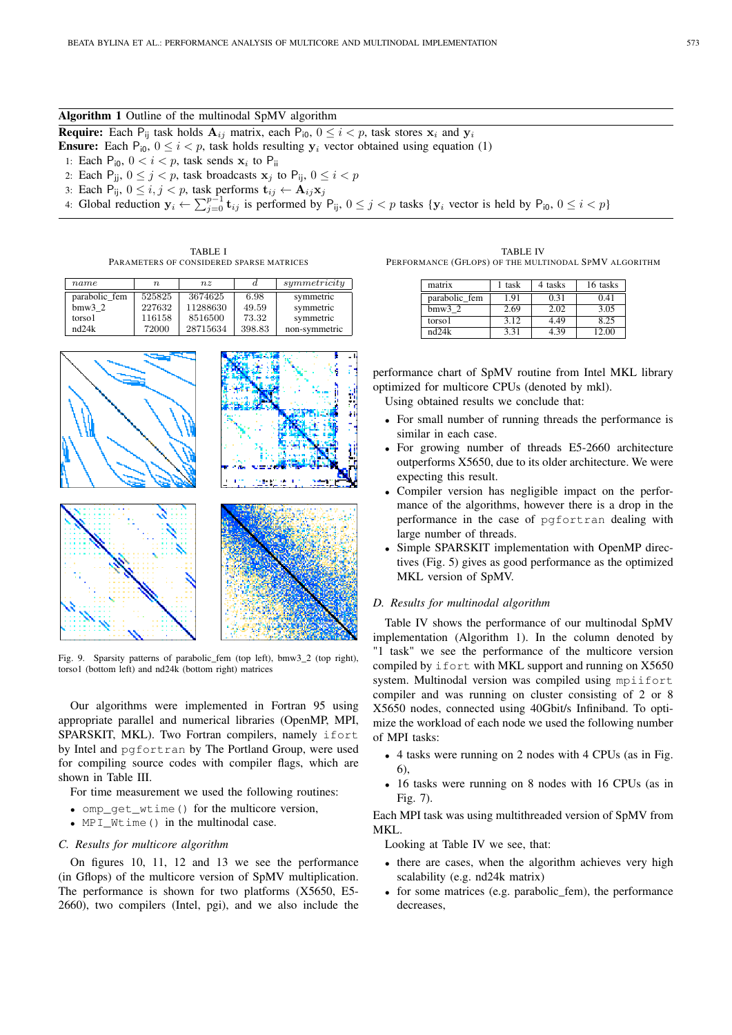## Algorithm 1 Outline of the multinodal SpMV algorithm

**Require:** Each P<sub>ij</sub> task holds  $A_{ij}$  matrix, each P<sub>i0</sub>,  $0 \le i < p$ , task stores  $x_i$  and  $y_i$ 

**Ensure:** Each  $P_{i0}$ ,  $0 \le i < p$ , task holds resulting  $y_i$  vector obtained using equation (1)

1: Each  $P_{i0}$ ,  $0 < i < p$ , task sends  $x_i$  to  $P_{ii}$ 

- 2: Each  $P_{jj}$ ,  $0 \le j < p$ , task broadcasts  $x_j$  to  $P_{ij}$ ,  $0 \le i < p$
- 3: Each  $\overline{P}_{ij}$ ,  $0 \le i, j < p$ , task performs  $\mathbf{t}_{ij} \leftarrow \mathbf{A}_{ij} \mathbf{x}_j$
- 4: Global reduction  $y_i \leftarrow \sum_{j=0}^{p-1} t_{ij}$  is performed by  $P_{ij}$ ,  $0 \le j < p$  tasks  $\{y_i \text{ vector is held by } P_{i0}, 0 \le i < p\}$

TABLE I PARAMETERS OF CONSIDERED SPARSE MATRICES

| name          | $n_{\cdot}$ | $n_{z}$  | d      | symmetricity  |
|---------------|-------------|----------|--------|---------------|
| parabolic fem | 525825      | 3674625  | 6.98   | symmetric     |
| $bmw3$ 2      | 227632      | 11288630 | 49.59  | symmetric     |
| torso1        | 116158      | 8516500  | 73.32  | symmetric     |
| nd24k         | 72000       | 28715634 | 398.83 | non-symmetric |



Fig. 9. Sparsity patterns of parabolic\_fem (top left), bmw3\_2 (top right), torso1 (bottom left) and nd24k (bottom right) matrices

Our algorithms were implemented in Fortran 95 using appropriate parallel and numerical libraries (OpenMP, MPI, SPARSKIT, MKL). Two Fortran compilers, namely ifort by Intel and pgfortran by The Portland Group, were used for compiling source codes with compiler flags, which are shown in Table III.

For time measurement we used the following routines:

- omp\_get\_wtime() for the multicore version,
- MPI\_Wtime() in the multinodal case.

# *C. Results for multicore algorithm*

On figures 10, 11, 12 and 13 we see the performance (in Gflops) of the multicore version of SpMV multiplication. The performance is shown for two platforms (X5650, E5- 2660), two compilers (Intel, pgi), and we also include the

TABLE IV PERFORMANCE (GFLOPS) OF THE MULTINODAL SPMV ALGORITHM

| matrix        | task | 4 tasks | 16 tasks |
|---------------|------|---------|----------|
| parabolic fem | 1.91 | 0.31    | 0.41     |
| $bmw3$ 2      | 2.69 | 2.02    | 3.05     |
| torso1        | 3.12 | 4.49    | 8.25     |
| nd24k         | 3.31 | 4 39    | '200     |

performance chart of SpMV routine from Intel MKL library optimized for multicore CPUs (denoted by mkl).

Using obtained results we conclude that:

- For small number of running threads the performance is similar in each case.
- For growing number of threads E5-2660 architecture outperforms X5650, due to its older architecture. We were expecting this result.
- Compiler version has negligible impact on the performance of the algorithms, however there is a drop in the performance in the case of pgfortran dealing with large number of threads.
- Simple SPARSKIT implementation with OpenMP directives (Fig. 5) gives as good performance as the optimized MKL version of SpMV.

# *D. Results for multinodal algorithm*

Table IV shows the performance of our multinodal SpMV implementation (Algorithm 1). In the column denoted by "1 task" we see the performance of the multicore version compiled by ifort with MKL support and running on X5650 system. Multinodal version was compiled using mpiifort compiler and was running on cluster consisting of 2 or 8 X5650 nodes, connected using 40Gbit/s Infiniband. To optimize the workload of each node we used the following number of MPI tasks:

- 4 tasks were running on 2 nodes with 4 CPUs (as in Fig. 6),
- 16 tasks were running on 8 nodes with 16 CPUs (as in Fig. 7).

Each MPI task was using multithreaded version of SpMV from MKL.

Looking at Table IV we see, that:

- there are cases, when the algorithm achieves very high scalability (e.g. nd24k matrix)
- for some matrices (e.g. parabolic\_fem), the performance decreases,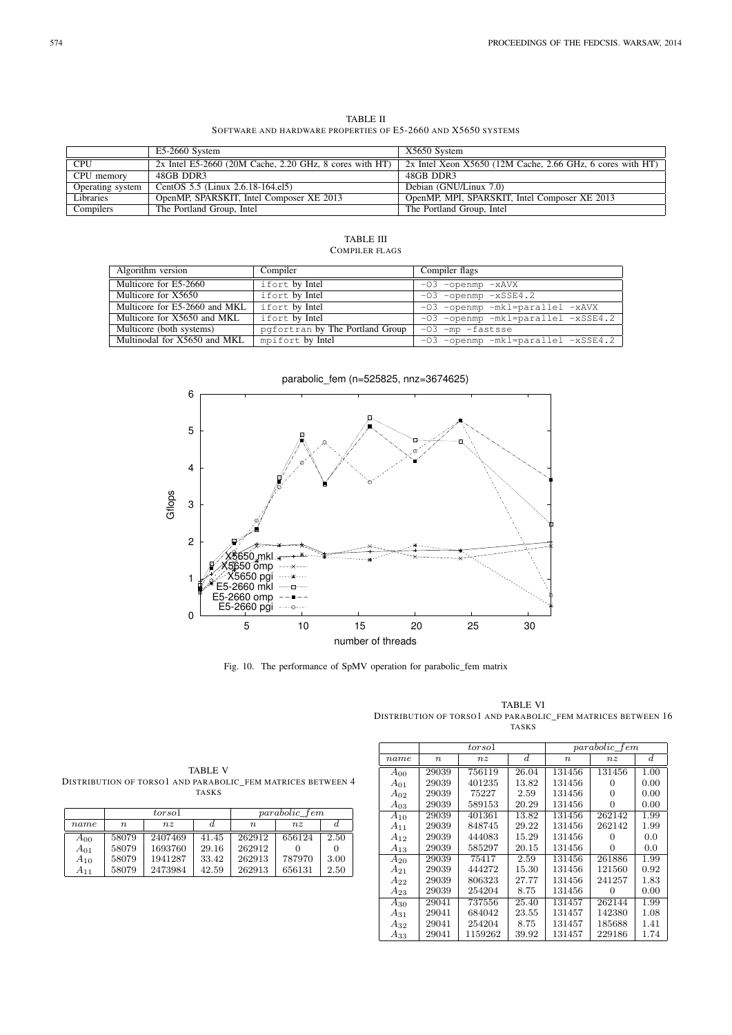TABLE II SOFTWARE AND HARDWARE PROPERTIES OF E5-2660 AND X5650 SYSTEMS

|                  | E5-2660 System                                            | X5650 System                                                 |
|------------------|-----------------------------------------------------------|--------------------------------------------------------------|
| <b>CPU</b>       | $2x$ Intel E5-2660 (20M Cache, 2.20 GHz, 8 cores with HT) | $2x$ Intel Xeon X5650 (12M Cache, 2.66 GHz, 6 cores with HT) |
| CPU memory       | 48GB DDR3                                                 | 48GB DDR3                                                    |
| Operating system | CentOS 5.5 (Linux 2.6.18-164.el5)                         | Debian (GNU/Linux 7.0)                                       |
| Libraries        | OpenMP, SPARSKIT, Intel Composer XE 2013                  | OpenMP, MPI, SPARSKIT, Intel Composer XE 2013                |
| Compilers        | The Portland Group, Intel                                 | The Portland Group, Intel                                    |

TABLE III COMPILER FLAGS

| Algorithm version             | Compiler                        | Compiler flags                     |
|-------------------------------|---------------------------------|------------------------------------|
| Multicore for E5-2660         | ifort by Intel                  | $-03$ -openmp $-xAVX$              |
| Multicore for X5650           | ifort by Intel                  | $-03$ -openmp $-xSSE4.2$           |
| Multicore for E5-2660 and MKL | ifort by Intel                  | -03 -openmp -mkl=parallel -xAVX    |
| Multicore for X5650 and MKL   | ifort by Intel                  | -03 -openmp -mkl=parallel -xSSE4.2 |
| Multicore (both systems)      | pgfortran by The Portland Group | $-03$ -mp -fastsse                 |
| Multinodal for X5650 and MKL  | mpifort by Intel                | -03 -openmp -mkl=parallel -xSSE4.2 |

 6 5 4 Gflops 3 2 X5650 mkl X5650 omp 1 X5650 pgi E5-2660 mkl E5-2660 omp ---■ E5-2660 pgi  $\cdots$   $\Theta$  0 5 10 15 20 25 30 number of threads

Fig. 10. The performance of SpMV operation for parabolic\_fem matrix

TABLE VI DISTRIBUTION OF TORSO1 AND PARABOLIC\_FEM MATRICES BETWEEN 16 TASKS

|          |        | torso <sub>1</sub> |                  | parabolic fem    |              |                  |
|----------|--------|--------------------|------------------|------------------|--------------|------------------|
| name     | $\, n$ | nz                 | $\boldsymbol{d}$ | $\boldsymbol{n}$ | nz           | $\boldsymbol{d}$ |
| $A_{00}$ | 29039  | 756119             | 26.04            | 131456           | 131456       | 1.00             |
| $A_{01}$ | 29039  | 401235             | 13.82            | 131456           | 0            | 0.00             |
| $A_{02}$ | 29039  | 75227              | 2.59             | 131456           | $\mathbf{0}$ | 0.00             |
| $A_{03}$ | 29039  | 589153             | 20.29            | 131456           | 0            | 0.00             |
| $A_{10}$ | 29039  | 401361             | 13.82            | 131456           | 262142       | 1.99             |
| $A_{11}$ | 29039  | 848745             | 29.22            | 131456           | 262142       | 1.99             |
| $A_{12}$ | 29039  | 444083             | 15.29            | 131456           | $\mathbf{0}$ | 0.0              |
| $A_{13}$ | 29039  | 585297             | 20.15            | 131456           | 0            | 0.0              |
| $A_{20}$ | 29039  | 75417              | 2.59             | 131456           | 261886       | 1.99             |
| $A_{21}$ | 29039  | 444272             | 15.30            | 131456           | 121560       | 0.92             |
| $A_{22}$ | 29039  | 806323             | 27.77            | 131456           | 241257       | 1.83             |
| $A_{23}$ | 29039  | 254204             | 8.75             | 131456           | 0            | 0.00             |
| $A_{30}$ | 29041  | 737556             | 25.40            | 131457           | 262144       | 1.99             |
| $A_{31}$ | 29041  | 684042             | 23.55            | 131457           | 142380       | 1.08             |
| $A_{32}$ | 29041  | 254204             | 8.75             | 131457           | 185688       | 1.41             |
| $A_{33}$ | 29041  | 1159262            | 39.92            | 131457           | 229186       | 1.74             |

TABLE V DISTRIBUTION OF TORSO1 AND PARABOLIC\_FEM MATRICES BETWEEN 4 TASKS

|          | torso <sub>1</sub> |         |       | parabolic fem    |        |      |
|----------|--------------------|---------|-------|------------------|--------|------|
| name     | n                  | nz      |       | $\boldsymbol{n}$ | nz     |      |
| $A_{00}$ | 58079              | 2407469 | 41.45 | 262912           | 656124 | 2.50 |
| $A_{01}$ | 58079              | 1693760 | 29.16 | 262912           |        |      |
| $A_{10}$ | 58079              | 1941287 | 33.42 | 262913           | 787970 | 3.00 |
| A11      | 58079              | 2473984 | 42.59 | 262913           | 656131 | 2.50 |

parabolic\_fem (n=525825, nnz=3674625)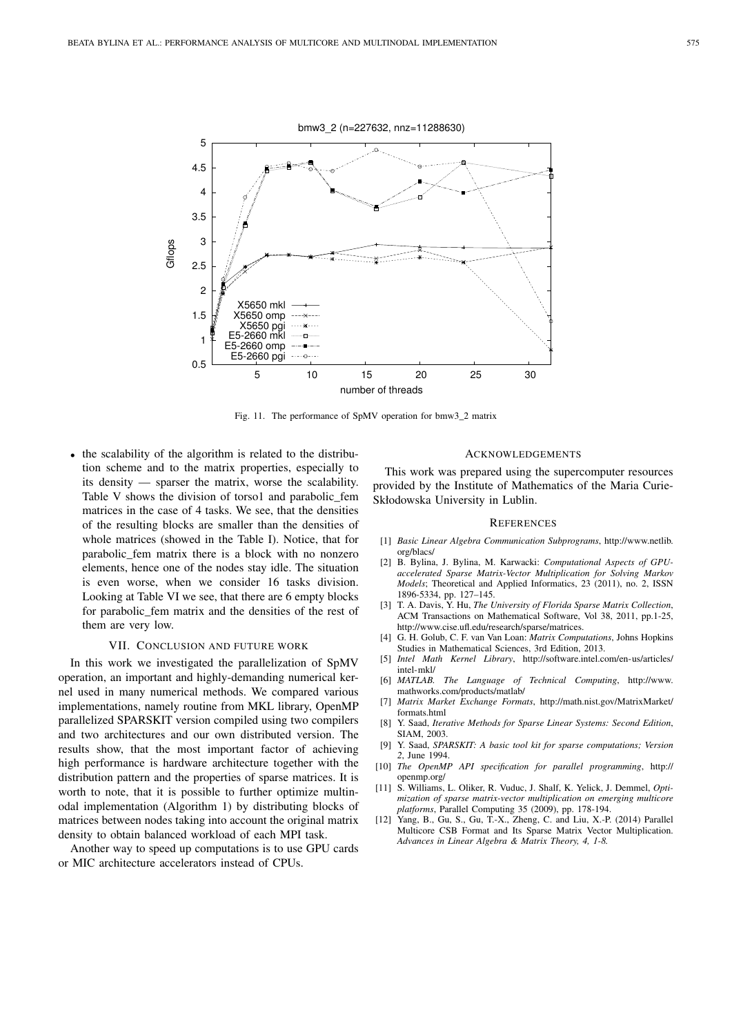

Fig. 11. The performance of SpMV operation for bmw3\_2 matrix

• the scalability of the algorithm is related to the distribution scheme and to the matrix properties, especially to its density — sparser the matrix, worse the scalability. Table V shows the division of torso1 and parabolic\_fem matrices in the case of 4 tasks. We see, that the densities of the resulting blocks are smaller than the densities of whole matrices (showed in the Table I). Notice, that for parabolic\_fem matrix there is a block with no nonzero elements, hence one of the nodes stay idle. The situation is even worse, when we consider 16 tasks division. Looking at Table VI we see, that there are 6 empty blocks for parabolic\_fem matrix and the densities of the rest of them are very low.

# VII. CONCLUSION AND FUTURE WORK

In this work we investigated the parallelization of SpMV operation, an important and highly-demanding numerical kernel used in many numerical methods. We compared various implementations, namely routine from MKL library, OpenMP parallelized SPARSKIT version compiled using two compilers and two architectures and our own distributed version. The results show, that the most important factor of achieving high performance is hardware architecture together with the distribution pattern and the properties of sparse matrices. It is worth to note, that it is possible to further optimize multinodal implementation (Algorithm 1) by distributing blocks of matrices between nodes taking into account the original matrix density to obtain balanced workload of each MPI task.

Another way to speed up computations is to use GPU cards or MIC architecture accelerators instead of CPUs.

#### ACKNOWLEDGEMENTS

This work was prepared using the supercomputer resources provided by the Institute of Mathematics of the Maria Curie-Skłodowska University in Lublin.

#### **REFERENCES**

- [1] *Basic Linear Algebra Communication Subprograms*, http://www.netlib. org/blacs/
- [2] B. Bylina, J. Bylina, M. Karwacki: *Computational Aspects of GPUaccelerated Sparse Matrix-Vector Multiplication for Solving Markov Models*; Theoretical and Applied Informatics, 23 (2011), no. 2, ISSN 1896-5334, pp. 127–145.
- [3] T. A. Davis, Y. Hu, *The University of Florida Sparse Matrix Collection*, ACM Transactions on Mathematical Software, Vol 38, 2011, pp.1-25, http://www.cise.ufl.edu/research/sparse/matrices.
- [4] G. H. Golub, C. F. van Van Loan: *Matrix Computations*, Johns Hopkins Studies in Mathematical Sciences, 3rd Edition, 2013.
- [5] *Intel Math Kernel Library*, http://software.intel.com/en-us/articles/ intel-mkl/
- [6] *MATLAB. The Language of Technical Computing*, http://www. mathworks.com/products/matlab/
- [7] *Matrix Market Exchange Formats*, http://math.nist.gov/MatrixMarket/ formats.html
- [8] Y. Saad, *Iterative Methods for Sparse Linear Systems: Second Edition*, SIAM, 2003.
- [9] Y. Saad, *SPARSKIT: A basic tool kit for sparse computations; Version 2*, June 1994.
- [10] *The OpenMP API specification for parallel programming*, http:// openmp.org/
- [11] S. Williams, L. Oliker, R. Vuduc, J. Shalf, K. Yelick, J. Demmel, *Optimization of sparse matrix-vector multiplication on emerging multicore platforms*, Parallel Computing 35 (2009), pp. 178-194.
- [12] Yang, B., Gu, S., Gu, T.-X., Zheng, C. and Liu, X.-P. (2014) Parallel Multicore CSB Format and Its Sparse Matrix Vector Multiplication. *Advances in Linear Algebra & Matrix Theory, 4, 1-8.*